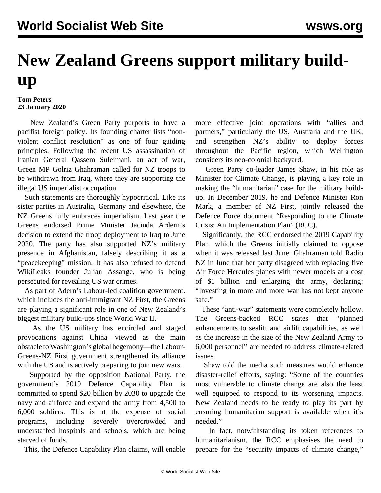## **New Zealand Greens support military buildup**

## **Tom Peters 23 January 2020**

 New Zealand's Green Party purports to have a pacifist foreign policy. Its founding charter lists "nonviolent conflict resolution" as one of four guiding principles. Following the recent US assassination of Iranian General Qassem Suleimani, an act of war, Green MP Golriz Ghahraman called for NZ troops to be withdrawn from Iraq, where they are supporting the illegal US imperialist occupation.

 Such statements are thoroughly hypocritical. Like its sister parties in Australia, Germany and elsewhere, the NZ Greens fully embraces imperialism. Last year the Greens endorsed Prime Minister Jacinda Ardern's decision to extend the troop deployment to Iraq to June 2020. The party has also supported NZ's military presence in Afghanistan, falsely describing it as a "peacekeeping" mission. It has also refused to defend WikiLeaks founder Julian Assange, who is being persecuted for revealing US war crimes.

 As part of Adern's Labour-led coalition government, which includes the anti-immigrant NZ First, the Greens are playing a significant role in one of New Zealand's biggest military build-ups since World War II.

 As the US military has encircled and staged provocations against China—viewed as the main obstacle to Washington's global hegemony—the Labour-Greens-NZ First government strengthened its alliance with the US and is actively preparing to join new wars.

 Supported by the opposition National Party, the government's 2019 Defence Capability Plan is committed to spend \$20 billion by 2030 to upgrade the navy and airforce and expand the army from 4,500 to 6,000 soldiers. This is at the expense of social programs, including severely overcrowded and understaffed hospitals and schools, which are being starved of funds.

This, the Defence Capability Plan claims, will enable

more effective joint operations with "allies and partners," particularly the US, Australia and the UK, and strengthen NZ's ability to deploy forces throughout the Pacific region, which Wellington considers its neo-colonial backyard.

 Green Party co-leader James Shaw, in his role as Minister for Climate Change, is playing a key role in making the "humanitarian" case for the military buildup. In December 2019, he and Defence Minister Ron Mark, a member of NZ First, jointly released the Defence Force document "Responding to the Climate Crisis: An Implementation Plan" (RCC).

 Significantly, the RCC endorsed the 2019 Capability Plan, which the Greens initially claimed to oppose when it was released last June. Ghahraman told Radio NZ in June that her party disagreed with replacing five Air Force Hercules planes with newer models at a cost of \$1 billion and enlarging the army, declaring: "Investing in more and more war has not kept anyone safe."

 These "anti-war" statements were completely hollow. The Greens-backed RCC states that "planned enhancements to sealift and airlift capabilities, as well as the increase in the size of the New Zealand Army to 6,000 personnel" are needed to address climate-related issues.

 Shaw told the media such measures would enhance disaster-relief efforts, saying: "Some of the countries most vulnerable to climate change are also the least well equipped to respond to its worsening impacts. New Zealand needs to be ready to play its part by ensuring humanitarian support is available when it's needed."

 In fact, notwithstanding its token references to humanitarianism, the RCC emphasises the need to prepare for the "security impacts of climate change,"